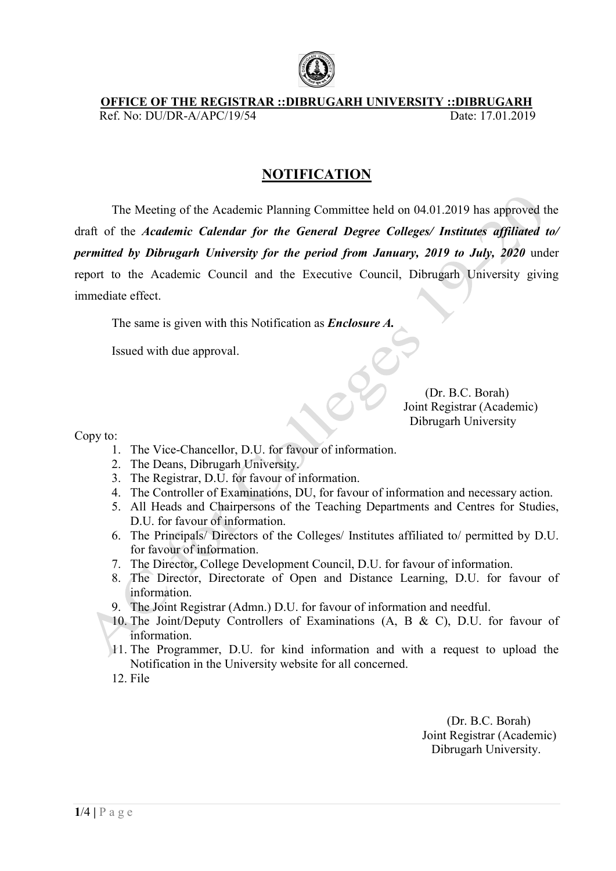

## OFFICE OF THE REGISTRAR ::DIBRUGARH UNIVERSITY ::DIBRUGARH Ref. No: DU/DR-A/APC/1 A/APC/19/54 Date: 17.01.2019

## NOTIFICATION

The Meeting of the Academic Planning Committee held on 04.01.2019 has approved the draft of the Academic Calendar for the General Degree Colleges/ Institutes affiliated to/<br>permitted by Dibrugarh University for the period from January, 2019 to July, 2020 under permitted by Dibrugarh University for the period from January, 2019 to July, 2020 under report to the Academic Council and the Executive Council, Dibrugarh University giving immediate effect. , Dibrugarh Universit<br>
Universit<br>
Concerned to the C. Borah)

The same is given with this Notification as *Enclosure A*.

Issued with due approval.

(Dr. B.C. Borah) Joint Registrar (Academic) Dibrugarh University

Copy to:

- 1. The Vice-Chancellor, D.U. for favour of information.
- 2. The Deans, Dibrugarh University.
- 3. The Registrar, D.U. for favour of information.
- 4. The Controller of Examinations, DU, for favour of information and necessary action. 2. The Deans, Dibrugarh University.<br>
3. The Registrar, D.U. for favour of information.<br>
4. The Controller of Examinations, DU, for favour of information and necessary action.<br>
5. All Heads and Chairpersons of the Teaching
- D.U. for favour of information.
- 6. The Principals/ Directors of the Colleges/ Institutes affiliated to/ permitted by D.U. for favour of information. Share is a set of information.<br>Favour of information.<br>Favour of information.<br>Favour of information.<br>Favour of information.
- 7. The Director, College Development Council, D.U. for favou
- 8. The Director, Directorate of Open and Distance Learning, D.U. for favour of information. tments and<br>affiliated t<br>r favour of<br>Learning,<br>mation and<br>, B & C),<br>with a red.
- 9. The Joint Registrar (Admn.) D.U. for favour of information and needful.
- 10. The Joint/Deputy Controllers of Examinations (A, B & C), D.U. for favour of information.
- 11. The Programmer, D.U. for kind information and with a request to upload the Notification in the Univer University website for all concerned.
- 12. File

 Joint Registrar (Academic) Dibrugarh University. (Dr. B.C. Borah)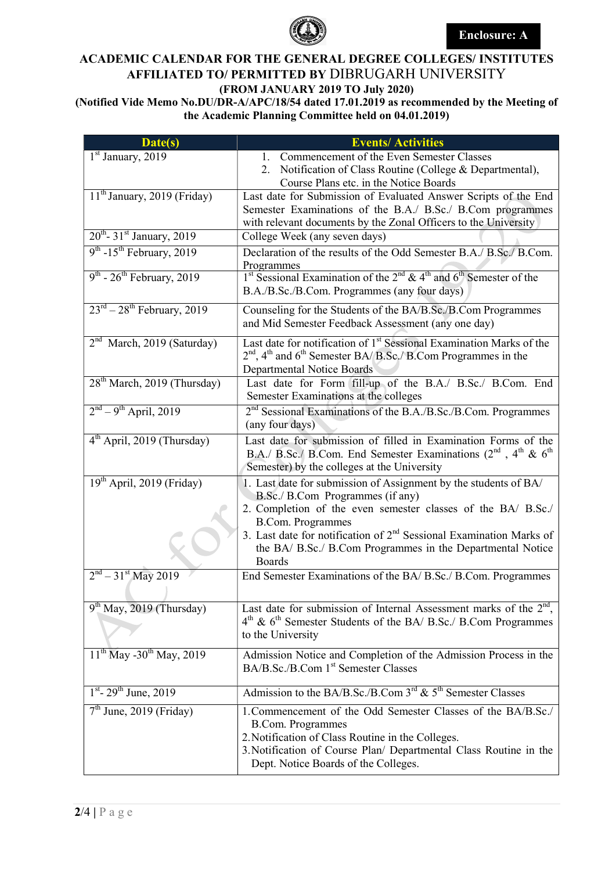

## ACADEMIC CALENDAR FOR THE GENERAL DEGREE COLLEGES/ INSTITUTES AFFILIATED TO/ PERMITTED BY DIBRUGARH UNIVERSITY (FROM JANUARY 2019 TO July 2020)

(Notified Vide Memo No.DU/DR-A/APC/18/54 dated 17.01.2019 as recommended by the Meeting of the Academic Planning Committee held on 04.01.2019)

| Date(s)                                           | <b>Events/Activities</b>                                                                                                                                                                                                                                                  |
|---------------------------------------------------|---------------------------------------------------------------------------------------------------------------------------------------------------------------------------------------------------------------------------------------------------------------------------|
| $1st$ January, 2019                               | 1. Commencement of the Even Semester Classes                                                                                                                                                                                                                              |
|                                                   | 2. Notification of Class Routine (College & Departmental),                                                                                                                                                                                                                |
|                                                   | Course Plans etc. in the Notice Boards                                                                                                                                                                                                                                    |
| 11 <sup>th</sup> January, 2019 (Friday)           | Last date for Submission of Evaluated Answer Scripts of the End                                                                                                                                                                                                           |
|                                                   | Semester Examinations of the B.A./ B.Sc./ B.Com programmes                                                                                                                                                                                                                |
|                                                   | with relevant documents by the Zonal Officers to the University                                                                                                                                                                                                           |
| $20^{th}$ - 31 <sup>st</sup> January, 2019        | College Week (any seven days)                                                                                                                                                                                                                                             |
| $9th$ -15 <sup>th</sup> February, 2019            | Declaration of the results of the Odd Semester B.A./ B.Sc./ B.Com.<br>Programmes                                                                                                                                                                                          |
| $9^{\text{th}}$ - $26^{\text{th}}$ February, 2019 | <sup>1st</sup> Sessional Examination of the $2^{nd}$ & 4 <sup>th</sup> and 6 <sup>th</sup> Semester of the                                                                                                                                                                |
|                                                   | B.A./B.Sc./B.Com. Programmes (any four days)                                                                                                                                                                                                                              |
| $23^{\text{rd}} - 28^{\text{th}}$ February, 2019  | Counseling for the Students of the BA/B.Sc./B.Com Programmes<br>and Mid Semester Feedback Assessment (any one day)                                                                                                                                                        |
| $2nd$ March, 2019 (Saturday)                      | Last date for notification of 1 <sup>st</sup> Sessional Examination Marks of the<br>$2nd$ , 4 <sup>th</sup> and 6 <sup>th</sup> Semester BA/B.Sc./B.Com Programmes in the<br>Departmental Notice Boards                                                                   |
| 28 <sup>th</sup> March, 2019 (Thursday)           | Last date for Form fill-up of the B.A./ B.Sc./ B.Com. End<br>Semester Examinations at the colleges                                                                                                                                                                        |
| $2nd - 9th$ April, 2019                           | 2 <sup>nd</sup> Sessional Examinations of the B.A./B.Sc./B.Com. Programmes<br>(any four days)                                                                                                                                                                             |
| $4th$ April, 2019 (Thursday)                      | Last date for submission of filled in Examination Forms of the<br>B.A./ B.Sc./ B.Com. End Semester Examinations ( $2nd$ , $4th$ & $6th$<br>Semester) by the colleges at the University                                                                                    |
| 19 <sup>th</sup> April, 2019 (Friday)             | 1. Last date for submission of Assignment by the students of BA/<br>B.Sc./ B.Com Programmes (if any)<br>2. Completion of the even semester classes of the BA/ B.Sc./<br><b>B.Com. Programmes</b><br>3. Last date for notification of $2nd$ Sessional Examination Marks of |
|                                                   | the BA/ B.Sc./ B.Com Programmes in the Departmental Notice<br><b>Boards</b>                                                                                                                                                                                               |
| $2nd - 31st$ May 2019                             | End Semester Examinations of the BA/B.Sc./B.Com. Programmes                                                                                                                                                                                                               |
| $9th$ May, 2019 (Thursday)                        | Last date for submission of Internal Assessment marks of the $2nd$ ,<br>4 <sup>th</sup> & 6 <sup>th</sup> Semester Students of the BA/ B.Sc./ B.Com Programmes<br>to the University                                                                                       |
| $11^{th}$ May -30 <sup>th</sup> May, 2019         | Admission Notice and Completion of the Admission Process in the<br>BA/B.Sc./B.Com 1 <sup>st</sup> Semester Classes                                                                                                                                                        |
| $1^{st}$ - 29 <sup>th</sup> June, 2019            | Admission to the BA/B.Sc./B.Com $3^{rd}$ & $5^{th}$ Semester Classes                                                                                                                                                                                                      |
| $7th$ June, 2019 (Friday)                         | 1. Commencement of the Odd Semester Classes of the BA/B.Sc./<br><b>B.Com. Programmes</b><br>2. Notification of Class Routine in the Colleges.<br>3. Notification of Course Plan/ Departmental Class Routine in the<br>Dept. Notice Boards of the Colleges.                |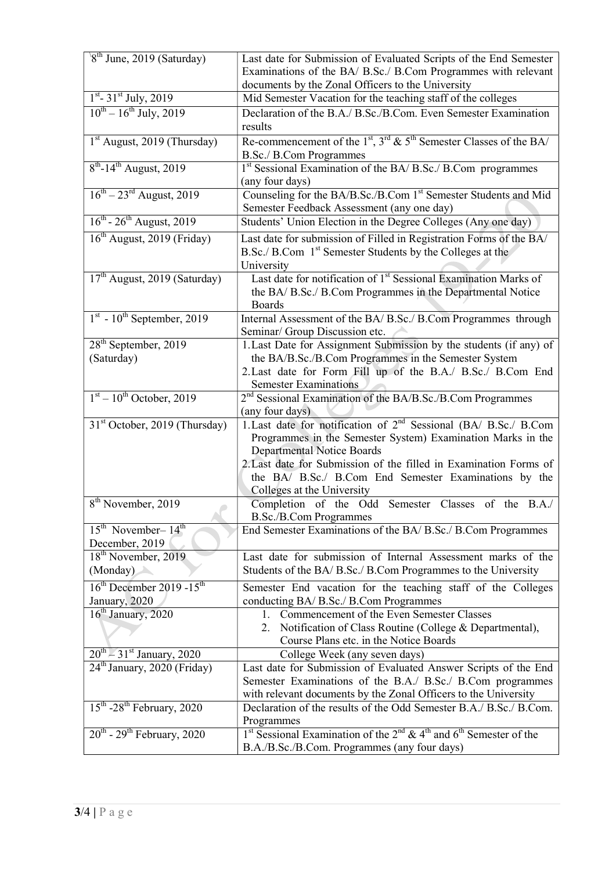| $8th$ June, 2019 (Saturday)                       | Last date for Submission of Evaluated Scripts of the End Semester                                                                                                                |
|---------------------------------------------------|----------------------------------------------------------------------------------------------------------------------------------------------------------------------------------|
|                                                   | Examinations of the BA/ B.Sc./ B.Com Programmes with relevant                                                                                                                    |
|                                                   | documents by the Zonal Officers to the University                                                                                                                                |
| $1st - 31st$ July, 2019                           | Mid Semester Vacation for the teaching staff of the colleges                                                                                                                     |
| $10^{th} - 16^{th}$ July, 2019                    | Declaration of the B.A./ B.Sc./B.Com. Even Semester Examination                                                                                                                  |
|                                                   | results                                                                                                                                                                          |
| 1 <sup>st</sup> August, 2019 (Thursday)           | Re-commencement of the $1^{st}$ , $3^{rd}$ & $5^{th}$ Semester Classes of the BA/<br>B.Sc./ B.Com Programmes                                                                     |
| $8^{th}$ -14 <sup>th</sup> August, 2019           | 1 <sup>st</sup> Sessional Examination of the BA/ B.Sc./ B.Com programmes<br>(any four days)                                                                                      |
| $16^{th} - 23^{rd}$ August, 2019                  | Counseling for the BA/B.Sc./B.Com 1st Semester Students and Mid                                                                                                                  |
|                                                   | Semester Feedback Assessment (any one day)                                                                                                                                       |
| $16^{th}$ - $26^{th}$ August, 2019                | Students' Union Election in the Degree Colleges (Any one day)                                                                                                                    |
| $16th$ August, 2019 (Friday)                      | Last date for submission of Filled in Registration Forms of the BA/<br>B.Sc./ B.Com 1 <sup>st</sup> Semester Students by the Colleges at the<br>University                       |
| $17th$ August, 2019 (Saturday)                    | Last date for notification of 1 <sup>st</sup> Sessional Examination Marks of<br>the BA/B.Sc./B.Com Programmes in the Departmental Notice<br>Boards                               |
| $1st$ - $10th$ September, 2019                    | Internal Assessment of the BA/ B.Sc./ B.Com Programmes through<br>Seminar/ Group Discussion etc.                                                                                 |
| 28 <sup>th</sup> September, 2019                  | 1. Last Date for Assignment Submission by the students (if any) of                                                                                                               |
| (Saturday)                                        | the BA/B.Sc./B.Com Programmes in the Semester System                                                                                                                             |
|                                                   | 2. Last date for Form Fill up of the B.A./ B.Sc./ B.Com End                                                                                                                      |
|                                                   | <b>Semester Examinations</b>                                                                                                                                                     |
| $1st - 10th$ October, 2019                        | $2nd$ Sessional Examination of the BA/B.Sc./B.Com Programmes                                                                                                                     |
|                                                   | (any four days)                                                                                                                                                                  |
| 31 <sup>st</sup> October, 2019 (Thursday)         | 1. Last date for notification of 2 <sup>nd</sup> Sessional (BA/ B.Sc./ B.Com<br>Programmes in the Semester System) Examination Marks in the<br><b>Departmental Notice Boards</b> |
|                                                   | 2. Last date for Submission of the filled in Examination Forms of                                                                                                                |
|                                                   | the BA/ B.Sc./ B.Com End Semester Examinations by the<br>Colleges at the University                                                                                              |
| 8 <sup>th</sup> November, 2019                    | Completion of the Odd Semester Classes of the B.A./                                                                                                                              |
|                                                   | <b>B.Sc./B.Com Programmes</b>                                                                                                                                                    |
| $15th$ November- $14th$<br>December, 2019         | End Semester Examinations of the BA/ B.Sc./ B.Com Programmes                                                                                                                     |
| 18 <sup>th</sup> November, 2019                   | Last date for submission of Internal Assessment marks of the                                                                                                                     |
| (Monday)                                          | Students of the BA/ B.Sc./ B.Com Programmes to the University                                                                                                                    |
| $16^{th}$ December 2019 -15 <sup>th</sup>         | Semester End vacation for the teaching staff of the Colleges                                                                                                                     |
| January, 2020                                     | conducting BA/ B.Sc./ B.Com Programmes                                                                                                                                           |
| $16th$ January, 2020                              | Commencement of the Even Semester Classes<br>1.                                                                                                                                  |
|                                                   | Notification of Class Routine (College & Departmental),<br>2.                                                                                                                    |
|                                                   | Course Plans etc. in the Notice Boards                                                                                                                                           |
| $20^{\text{th}} - 31^{\text{st}}$ January, 2020   | College Week (any seven days)                                                                                                                                                    |
| 24 <sup>th</sup> January, 2020 (Friday)           | Last date for Submission of Evaluated Answer Scripts of the End                                                                                                                  |
|                                                   | Semester Examinations of the B.A./ B.Sc./ B.Com programmes                                                                                                                       |
| $15^{\text{th}}$ -28 <sup>th</sup> February, 2020 | with relevant documents by the Zonal Officers to the University<br>Declaration of the results of the Odd Semester B.A./ B.Sc./ B.Com.                                            |
|                                                   | Programmes                                                                                                                                                                       |
| $20^{th}$ - $29^{th}$ February, 2020              | 1 <sup>st</sup> Sessional Examination of the $2^{nd}$ & 4 <sup>th</sup> and 6 <sup>th</sup> Semester of the                                                                      |
|                                                   | B.A./B.Sc./B.Com. Programmes (any four days)                                                                                                                                     |